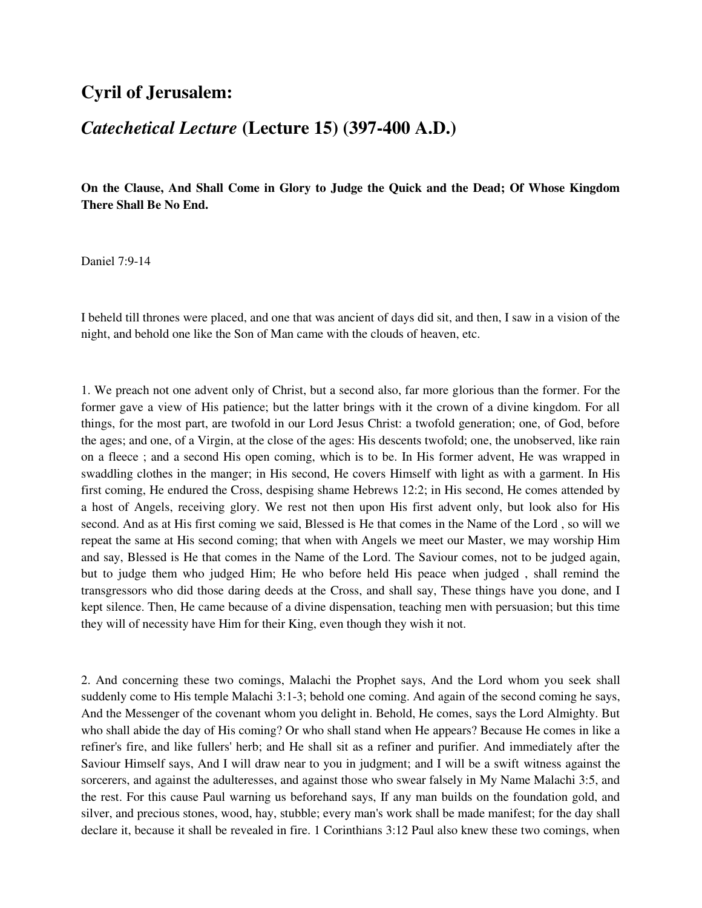## **Cyril of Jerusalem:**

## *Catechetical Lecture* **(Lecture 15) (397-400 A.D.)**

**On the Clause, And Shall Come in Glory to Judge the Quick and the Dead; Of Whose Kingdom There Shall Be No End.** 

Daniel 7:9-14

I beheld till thrones were placed, and one that was ancient of days did sit, and then, I saw in a vision of the night, and behold one like the Son of Man came with the clouds of heaven, etc.

1. We preach not one advent only of Christ, but a second also, far more glorious than the former. For the former gave a view of His patience; but the latter brings with it the crown of a divine kingdom. For all things, for the most part, are twofold in our Lord Jesus Christ: a twofold generation; one, of God, before the ages; and one, of a Virgin, at the close of the ages: His descents twofold; one, the unobserved, like rain on a fleece ; and a second His open coming, which is to be. In His former advent, He was wrapped in swaddling clothes in the manger; in His second, He covers Himself with light as with a garment. In His first coming, He endured the Cross, despising shame Hebrews 12:2; in His second, He comes attended by a host of Angels, receiving glory. We rest not then upon His first advent only, but look also for His second. And as at His first coming we said, Blessed is He that comes in the Name of the Lord , so will we repeat the same at His second coming; that when with Angels we meet our Master, we may worship Him and say, Blessed is He that comes in the Name of the Lord. The Saviour comes, not to be judged again, but to judge them who judged Him; He who before held His peace when judged , shall remind the transgressors who did those daring deeds at the Cross, and shall say, These things have you done, and I kept silence. Then, He came because of a divine dispensation, teaching men with persuasion; but this time they will of necessity have Him for their King, even though they wish it not.

2. And concerning these two comings, Malachi the Prophet says, And the Lord whom you seek shall suddenly come to His temple Malachi 3:1-3; behold one coming. And again of the second coming he says, And the Messenger of the covenant whom you delight in. Behold, He comes, says the Lord Almighty. But who shall abide the day of His coming? Or who shall stand when He appears? Because He comes in like a refiner's fire, and like fullers' herb; and He shall sit as a refiner and purifier. And immediately after the Saviour Himself says, And I will draw near to you in judgment; and I will be a swift witness against the sorcerers, and against the adulteresses, and against those who swear falsely in My Name Malachi 3:5, and the rest. For this cause Paul warning us beforehand says, If any man builds on the foundation gold, and silver, and precious stones, wood, hay, stubble; every man's work shall be made manifest; for the day shall declare it, because it shall be revealed in fire. 1 Corinthians 3:12 Paul also knew these two comings, when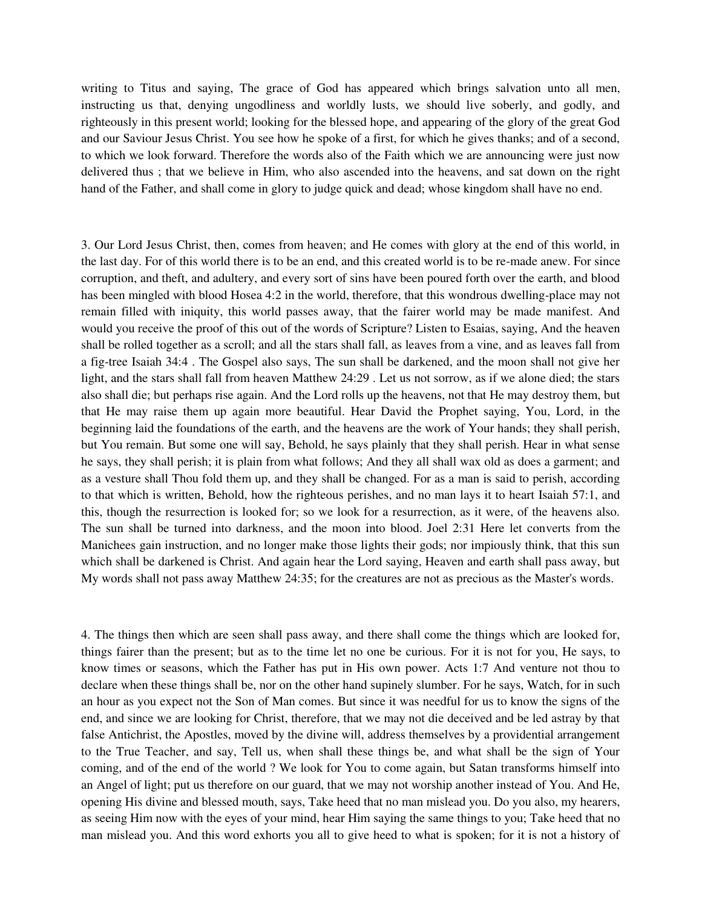writing to Titus and saying, The grace of God has appeared which brings salvation unto all men, instructing us that, denying ungodliness and worldly lusts, we should live soberly, and godly, and righteously in this present world; looking for the blessed hope, and appearing of the glory of the great God and our Saviour Jesus Christ. You see how he spoke of a first, for which he gives thanks; and of a second, to which we look forward. Therefore the words also of the Faith which we are announcing were just now delivered thus ; that we believe in Him, who also ascended into the heavens, and sat down on the right hand of the Father, and shall come in glory to judge quick and dead; whose kingdom shall have no end.

3. Our Lord Jesus Christ, then, comes from heaven; and He comes with glory at the end of this world, in the last day. For of this world there is to be an end, and this created world is to be re-made anew. For since corruption, and theft, and adultery, and every sort of sins have been poured forth over the earth, and blood has been mingled with blood Hosea 4:2 in the world, therefore, that this wondrous dwelling-place may not remain filled with iniquity, this world passes away, that the fairer world may be made manifest. And would you receive the proof of this out of the words of Scripture? Listen to Esaias, saying, And the heaven shall be rolled together as a scroll; and all the stars shall fall, as leaves from a vine, and as leaves fall from a fig-tree Isaiah 34:4 . The Gospel also says, The sun shall be darkened, and the moon shall not give her light, and the stars shall fall from heaven Matthew 24:29 . Let us not sorrow, as if we alone died; the stars also shall die; but perhaps rise again. And the Lord rolls up the heavens, not that He may destroy them, but that He may raise them up again more beautiful. Hear David the Prophet saying, You, Lord, in the beginning laid the foundations of the earth, and the heavens are the work of Your hands; they shall perish, but You remain. But some one will say, Behold, he says plainly that they shall perish. Hear in what sense he says, they shall perish; it is plain from what follows; And they all shall wax old as does a garment; and as a vesture shall Thou fold them up, and they shall be changed. For as a man is said to perish, according to that which is written, Behold, how the righteous perishes, and no man lays it to heart Isaiah 57:1, and this, though the resurrection is looked for; so we look for a resurrection, as it were, of the heavens also. The sun shall be turned into darkness, and the moon into blood. Joel 2:31 Here let converts from the Manichees gain instruction, and no longer make those lights their gods; nor impiously think, that this sun which shall be darkened is Christ. And again hear the Lord saying, Heaven and earth shall pass away, but My words shall not pass away Matthew 24:35; for the creatures are not as precious as the Master's words.

4. The things then which are seen shall pass away, and there shall come the things which are looked for, things fairer than the present; but as to the time let no one be curious. For it is not for you, He says, to know times or seasons, which the Father has put in His own power. Acts 1:7 And venture not thou to declare when these things shall be, nor on the other hand supinely slumber. For he says, Watch, for in such an hour as you expect not the Son of Man comes. But since it was needful for us to know the signs of the end, and since we are looking for Christ, therefore, that we may not die deceived and be led astray by that false Antichrist, the Apostles, moved by the divine will, address themselves by a providential arrangement to the True Teacher, and say, Tell us, when shall these things be, and what shall be the sign of Your coming, and of the end of the world ? We look for You to come again, but Satan transforms himself into an Angel of light; put us therefore on our guard, that we may not worship another instead of You. And He, opening His divine and blessed mouth, says, Take heed that no man mislead you. Do you also, my hearers, as seeing Him now with the eyes of your mind, hear Him saying the same things to you; Take heed that no man mislead you. And this word exhorts you all to give heed to what is spoken; for it is not a history of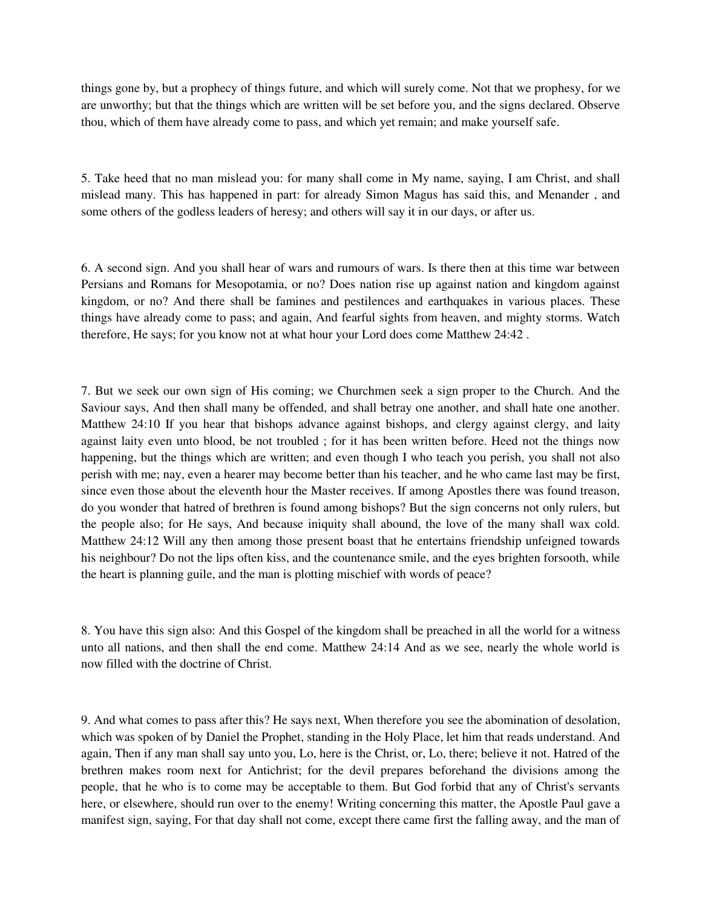things gone by, but a prophecy of things future, and which will surely come. Not that we prophesy, for we are unworthy; but that the things which are written will be set before you, and the signs declared. Observe thou, which of them have already come to pass, and which yet remain; and make yourself safe.

5. Take heed that no man mislead you: for many shall come in My name, saying, I am Christ, and shall mislead many. This has happened in part: for already Simon Magus has said this, and Menander , and some others of the godless leaders of heresy; and others will say it in our days, or after us.

6. A second sign. And you shall hear of wars and rumours of wars. Is there then at this time war between Persians and Romans for Mesopotamia, or no? Does nation rise up against nation and kingdom against kingdom, or no? And there shall be famines and pestilences and earthquakes in various places. These things have already come to pass; and again, And fearful sights from heaven, and mighty storms. Watch therefore, He says; for you know not at what hour your Lord does come Matthew 24:42 .

7. But we seek our own sign of His coming; we Churchmen seek a sign proper to the Church. And the Saviour says, And then shall many be offended, and shall betray one another, and shall hate one another. Matthew 24:10 If you hear that bishops advance against bishops, and clergy against clergy, and laity against laity even unto blood, be not troubled ; for it has been written before. Heed not the things now happening, but the things which are written; and even though I who teach you perish, you shall not also perish with me; nay, even a hearer may become better than his teacher, and he who came last may be first, since even those about the eleventh hour the Master receives. If among Apostles there was found treason, do you wonder that hatred of brethren is found among bishops? But the sign concerns not only rulers, but the people also; for He says, And because iniquity shall abound, the love of the many shall wax cold. Matthew 24:12 Will any then among those present boast that he entertains friendship unfeigned towards his neighbour? Do not the lips often kiss, and the countenance smile, and the eyes brighten forsooth, while the heart is planning guile, and the man is plotting mischief with words of peace?

8. You have this sign also: And this Gospel of the kingdom shall be preached in all the world for a witness unto all nations, and then shall the end come. Matthew 24:14 And as we see, nearly the whole world is now filled with the doctrine of Christ.

9. And what comes to pass after this? He says next, When therefore you see the abomination of desolation, which was spoken of by Daniel the Prophet, standing in the Holy Place, let him that reads understand. And again, Then if any man shall say unto you, Lo, here is the Christ, or, Lo, there; believe it not. Hatred of the brethren makes room next for Antichrist; for the devil prepares beforehand the divisions among the people, that he who is to come may be acceptable to them. But God forbid that any of Christ's servants here, or elsewhere, should run over to the enemy! Writing concerning this matter, the Apostle Paul gave a manifest sign, saying, For that day shall not come, except there came first the falling away, and the man of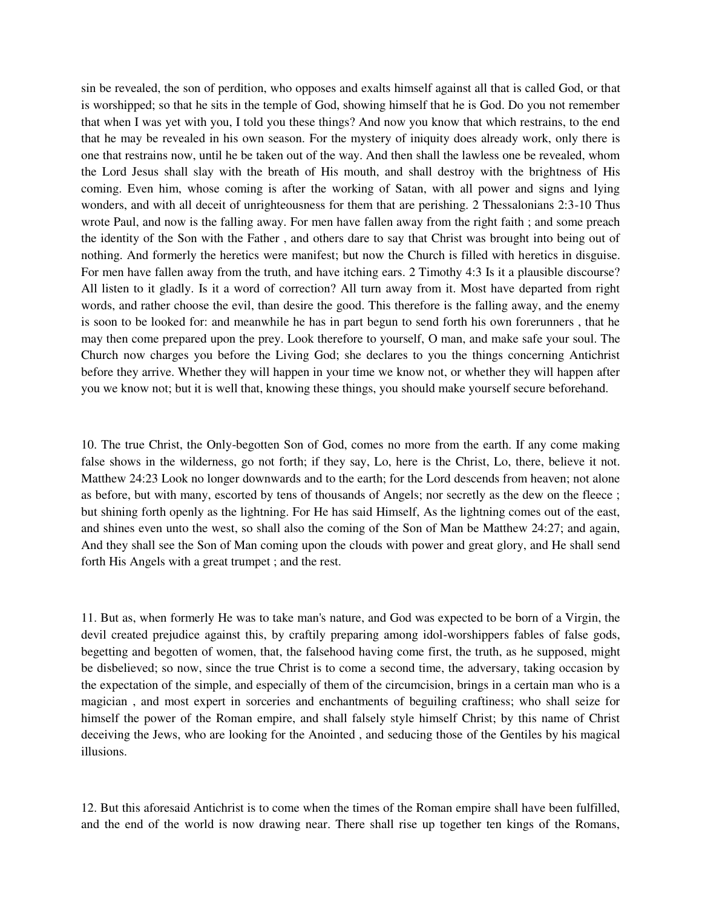sin be revealed, the son of perdition, who opposes and exalts himself against all that is called God, or that is worshipped; so that he sits in the temple of God, showing himself that he is God. Do you not remember that when I was yet with you, I told you these things? And now you know that which restrains, to the end that he may be revealed in his own season. For the mystery of iniquity does already work, only there is one that restrains now, until he be taken out of the way. And then shall the lawless one be revealed, whom the Lord Jesus shall slay with the breath of His mouth, and shall destroy with the brightness of His coming. Even him, whose coming is after the working of Satan, with all power and signs and lying wonders, and with all deceit of unrighteousness for them that are perishing. 2 Thessalonians 2:3-10 Thus wrote Paul, and now is the falling away. For men have fallen away from the right faith ; and some preach the identity of the Son with the Father , and others dare to say that Christ was brought into being out of nothing. And formerly the heretics were manifest; but now the Church is filled with heretics in disguise. For men have fallen away from the truth, and have itching ears. 2 Timothy 4:3 Is it a plausible discourse? All listen to it gladly. Is it a word of correction? All turn away from it. Most have departed from right words, and rather choose the evil, than desire the good. This therefore is the falling away, and the enemy is soon to be looked for: and meanwhile he has in part begun to send forth his own forerunners , that he may then come prepared upon the prey. Look therefore to yourself, O man, and make safe your soul. The Church now charges you before the Living God; she declares to you the things concerning Antichrist before they arrive. Whether they will happen in your time we know not, or whether they will happen after you we know not; but it is well that, knowing these things, you should make yourself secure beforehand.

10. The true Christ, the Only-begotten Son of God, comes no more from the earth. If any come making false shows in the wilderness, go not forth; if they say, Lo, here is the Christ, Lo, there, believe it not. Matthew 24:23 Look no longer downwards and to the earth; for the Lord descends from heaven; not alone as before, but with many, escorted by tens of thousands of Angels; nor secretly as the dew on the fleece ; but shining forth openly as the lightning. For He has said Himself, As the lightning comes out of the east, and shines even unto the west, so shall also the coming of the Son of Man be Matthew 24:27; and again, And they shall see the Son of Man coming upon the clouds with power and great glory, and He shall send forth His Angels with a great trumpet ; and the rest.

11. But as, when formerly He was to take man's nature, and God was expected to be born of a Virgin, the devil created prejudice against this, by craftily preparing among idol-worshippers fables of false gods, begetting and begotten of women, that, the falsehood having come first, the truth, as he supposed, might be disbelieved; so now, since the true Christ is to come a second time, the adversary, taking occasion by the expectation of the simple, and especially of them of the circumcision, brings in a certain man who is a magician , and most expert in sorceries and enchantments of beguiling craftiness; who shall seize for himself the power of the Roman empire, and shall falsely style himself Christ; by this name of Christ deceiving the Jews, who are looking for the Anointed , and seducing those of the Gentiles by his magical illusions.

12. But this aforesaid Antichrist is to come when the times of the Roman empire shall have been fulfilled, and the end of the world is now drawing near. There shall rise up together ten kings of the Romans,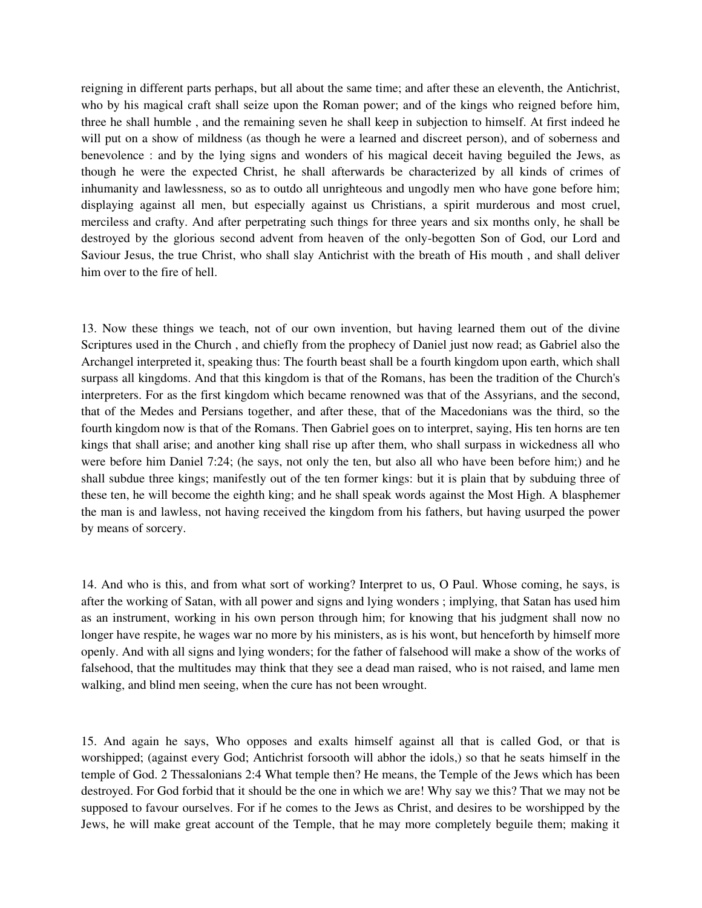reigning in different parts perhaps, but all about the same time; and after these an eleventh, the Antichrist, who by his magical craft shall seize upon the Roman power; and of the kings who reigned before him, three he shall humble , and the remaining seven he shall keep in subjection to himself. At first indeed he will put on a show of mildness (as though he were a learned and discreet person), and of soberness and benevolence : and by the lying signs and wonders of his magical deceit having beguiled the Jews, as though he were the expected Christ, he shall afterwards be characterized by all kinds of crimes of inhumanity and lawlessness, so as to outdo all unrighteous and ungodly men who have gone before him; displaying against all men, but especially against us Christians, a spirit murderous and most cruel, merciless and crafty. And after perpetrating such things for three years and six months only, he shall be destroyed by the glorious second advent from heaven of the only-begotten Son of God, our Lord and Saviour Jesus, the true Christ, who shall slay Antichrist with the breath of His mouth , and shall deliver him over to the fire of hell.

13. Now these things we teach, not of our own invention, but having learned them out of the divine Scriptures used in the Church , and chiefly from the prophecy of Daniel just now read; as Gabriel also the Archangel interpreted it, speaking thus: The fourth beast shall be a fourth kingdom upon earth, which shall surpass all kingdoms. And that this kingdom is that of the Romans, has been the tradition of the Church's interpreters. For as the first kingdom which became renowned was that of the Assyrians, and the second, that of the Medes and Persians together, and after these, that of the Macedonians was the third, so the fourth kingdom now is that of the Romans. Then Gabriel goes on to interpret, saying, His ten horns are ten kings that shall arise; and another king shall rise up after them, who shall surpass in wickedness all who were before him Daniel 7:24; (he says, not only the ten, but also all who have been before him;) and he shall subdue three kings; manifestly out of the ten former kings: but it is plain that by subduing three of these ten, he will become the eighth king; and he shall speak words against the Most High. A blasphemer the man is and lawless, not having received the kingdom from his fathers, but having usurped the power by means of sorcery.

14. And who is this, and from what sort of working? Interpret to us, O Paul. Whose coming, he says, is after the working of Satan, with all power and signs and lying wonders ; implying, that Satan has used him as an instrument, working in his own person through him; for knowing that his judgment shall now no longer have respite, he wages war no more by his ministers, as is his wont, but henceforth by himself more openly. And with all signs and lying wonders; for the father of falsehood will make a show of the works of falsehood, that the multitudes may think that they see a dead man raised, who is not raised, and lame men walking, and blind men seeing, when the cure has not been wrought.

15. And again he says, Who opposes and exalts himself against all that is called God, or that is worshipped; (against every God; Antichrist forsooth will abhor the idols,) so that he seats himself in the temple of God. 2 Thessalonians 2:4 What temple then? He means, the Temple of the Jews which has been destroyed. For God forbid that it should be the one in which we are! Why say we this? That we may not be supposed to favour ourselves. For if he comes to the Jews as Christ, and desires to be worshipped by the Jews, he will make great account of the Temple, that he may more completely beguile them; making it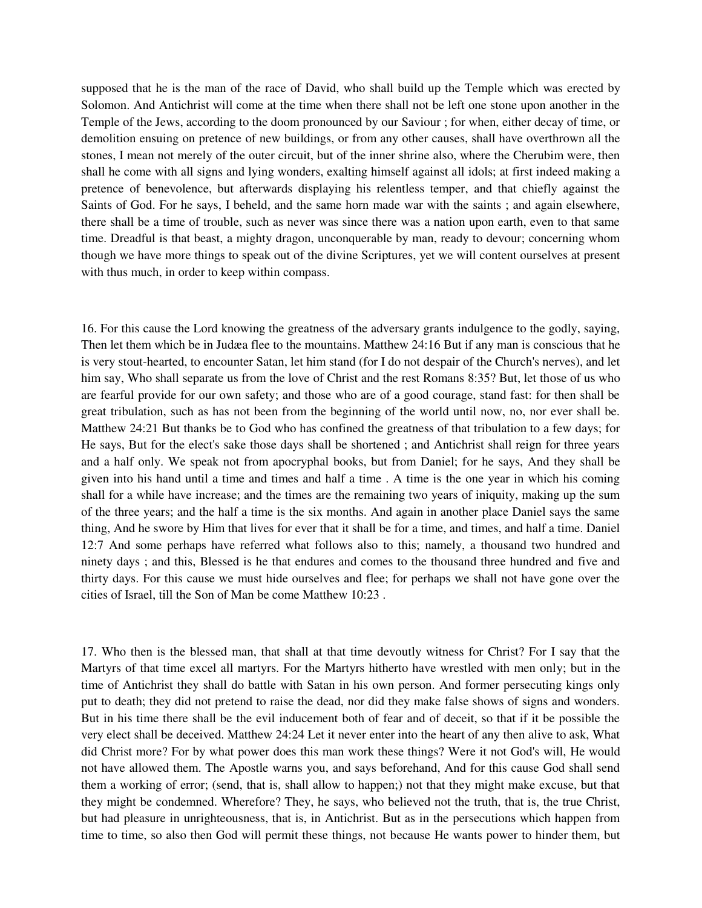supposed that he is the man of the race of David, who shall build up the Temple which was erected by Solomon. And Antichrist will come at the time when there shall not be left one stone upon another in the Temple of the Jews, according to the doom pronounced by our Saviour ; for when, either decay of time, or demolition ensuing on pretence of new buildings, or from any other causes, shall have overthrown all the stones, I mean not merely of the outer circuit, but of the inner shrine also, where the Cherubim were, then shall he come with all signs and lying wonders, exalting himself against all idols; at first indeed making a pretence of benevolence, but afterwards displaying his relentless temper, and that chiefly against the Saints of God. For he says, I beheld, and the same horn made war with the saints ; and again elsewhere, there shall be a time of trouble, such as never was since there was a nation upon earth, even to that same time. Dreadful is that beast, a mighty dragon, unconquerable by man, ready to devour; concerning whom though we have more things to speak out of the divine Scriptures, yet we will content ourselves at present with thus much, in order to keep within compass.

16. For this cause the Lord knowing the greatness of the adversary grants indulgence to the godly, saying, Then let them which be in Judæa flee to the mountains. Matthew 24:16 But if any man is conscious that he is very stout-hearted, to encounter Satan, let him stand (for I do not despair of the Church's nerves), and let him say, Who shall separate us from the love of Christ and the rest Romans 8:35? But, let those of us who are fearful provide for our own safety; and those who are of a good courage, stand fast: for then shall be great tribulation, such as has not been from the beginning of the world until now, no, nor ever shall be. Matthew 24:21 But thanks be to God who has confined the greatness of that tribulation to a few days; for He says, But for the elect's sake those days shall be shortened ; and Antichrist shall reign for three years and a half only. We speak not from apocryphal books, but from Daniel; for he says, And they shall be given into his hand until a time and times and half a time . A time is the one year in which his coming shall for a while have increase; and the times are the remaining two years of iniquity, making up the sum of the three years; and the half a time is the six months. And again in another place Daniel says the same thing, And he swore by Him that lives for ever that it shall be for a time, and times, and half a time. Daniel 12:7 And some perhaps have referred what follows also to this; namely, a thousand two hundred and ninety days ; and this, Blessed is he that endures and comes to the thousand three hundred and five and thirty days. For this cause we must hide ourselves and flee; for perhaps we shall not have gone over the cities of Israel, till the Son of Man be come Matthew 10:23 .

17. Who then is the blessed man, that shall at that time devoutly witness for Christ? For I say that the Martyrs of that time excel all martyrs. For the Martyrs hitherto have wrestled with men only; but in the time of Antichrist they shall do battle with Satan in his own person. And former persecuting kings only put to death; they did not pretend to raise the dead, nor did they make false shows of signs and wonders. But in his time there shall be the evil inducement both of fear and of deceit, so that if it be possible the very elect shall be deceived. Matthew 24:24 Let it never enter into the heart of any then alive to ask, What did Christ more? For by what power does this man work these things? Were it not God's will, He would not have allowed them. The Apostle warns you, and says beforehand, And for this cause God shall send them a working of error; (send, that is, shall allow to happen;) not that they might make excuse, but that they might be condemned. Wherefore? They, he says, who believed not the truth, that is, the true Christ, but had pleasure in unrighteousness, that is, in Antichrist. But as in the persecutions which happen from time to time, so also then God will permit these things, not because He wants power to hinder them, but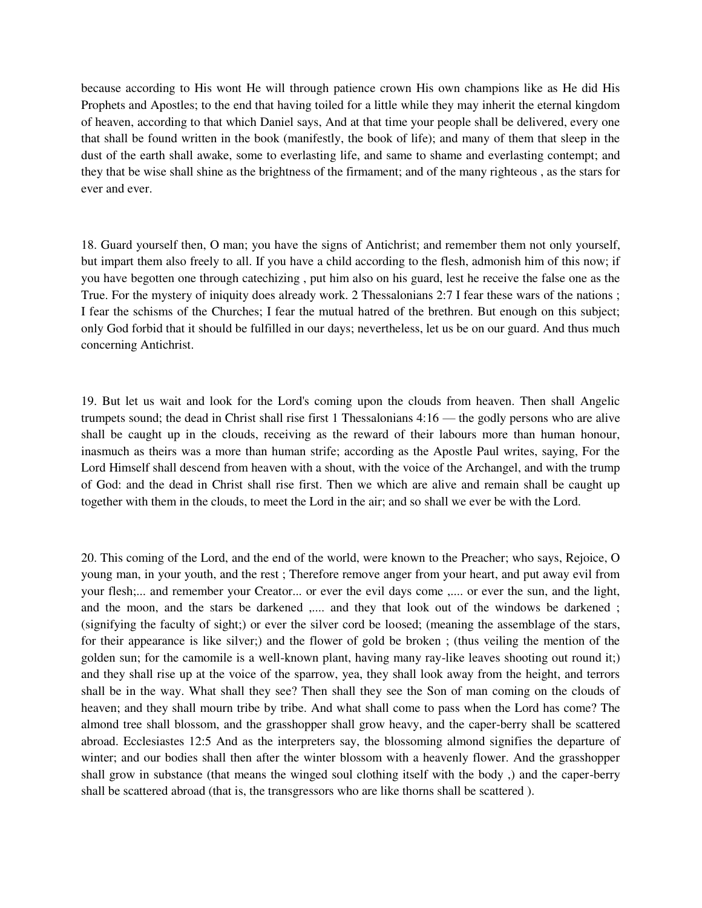because according to His wont He will through patience crown His own champions like as He did His Prophets and Apostles; to the end that having toiled for a little while they may inherit the eternal kingdom of heaven, according to that which Daniel says, And at that time your people shall be delivered, every one that shall be found written in the book (manifestly, the book of life); and many of them that sleep in the dust of the earth shall awake, some to everlasting life, and same to shame and everlasting contempt; and they that be wise shall shine as the brightness of the firmament; and of the many righteous , as the stars for ever and ever.

18. Guard yourself then, O man; you have the signs of Antichrist; and remember them not only yourself, but impart them also freely to all. If you have a child according to the flesh, admonish him of this now; if you have begotten one through catechizing , put him also on his guard, lest he receive the false one as the True. For the mystery of iniquity does already work. 2 Thessalonians 2:7 I fear these wars of the nations ; I fear the schisms of the Churches; I fear the mutual hatred of the brethren. But enough on this subject; only God forbid that it should be fulfilled in our days; nevertheless, let us be on our guard. And thus much concerning Antichrist.

19. But let us wait and look for the Lord's coming upon the clouds from heaven. Then shall Angelic trumpets sound; the dead in Christ shall rise first 1 Thessalonians 4:16 — the godly persons who are alive shall be caught up in the clouds, receiving as the reward of their labours more than human honour, inasmuch as theirs was a more than human strife; according as the Apostle Paul writes, saying, For the Lord Himself shall descend from heaven with a shout, with the voice of the Archangel, and with the trump of God: and the dead in Christ shall rise first. Then we which are alive and remain shall be caught up together with them in the clouds, to meet the Lord in the air; and so shall we ever be with the Lord.

20. This coming of the Lord, and the end of the world, were known to the Preacher; who says, Rejoice, O young man, in your youth, and the rest ; Therefore remove anger from your heart, and put away evil from your flesh;... and remember your Creator... or ever the evil days come ,.... or ever the sun, and the light, and the moon, and the stars be darkened ..... and they that look out of the windows be darkened ; (signifying the faculty of sight;) or ever the silver cord be loosed; (meaning the assemblage of the stars, for their appearance is like silver;) and the flower of gold be broken ; (thus veiling the mention of the golden sun; for the camomile is a well-known plant, having many ray-like leaves shooting out round it;) and they shall rise up at the voice of the sparrow, yea, they shall look away from the height, and terrors shall be in the way. What shall they see? Then shall they see the Son of man coming on the clouds of heaven; and they shall mourn tribe by tribe. And what shall come to pass when the Lord has come? The almond tree shall blossom, and the grasshopper shall grow heavy, and the caper-berry shall be scattered abroad. Ecclesiastes 12:5 And as the interpreters say, the blossoming almond signifies the departure of winter; and our bodies shall then after the winter blossom with a heavenly flower. And the grasshopper shall grow in substance (that means the winged soul clothing itself with the body ,) and the caper-berry shall be scattered abroad (that is, the transgressors who are like thorns shall be scattered ).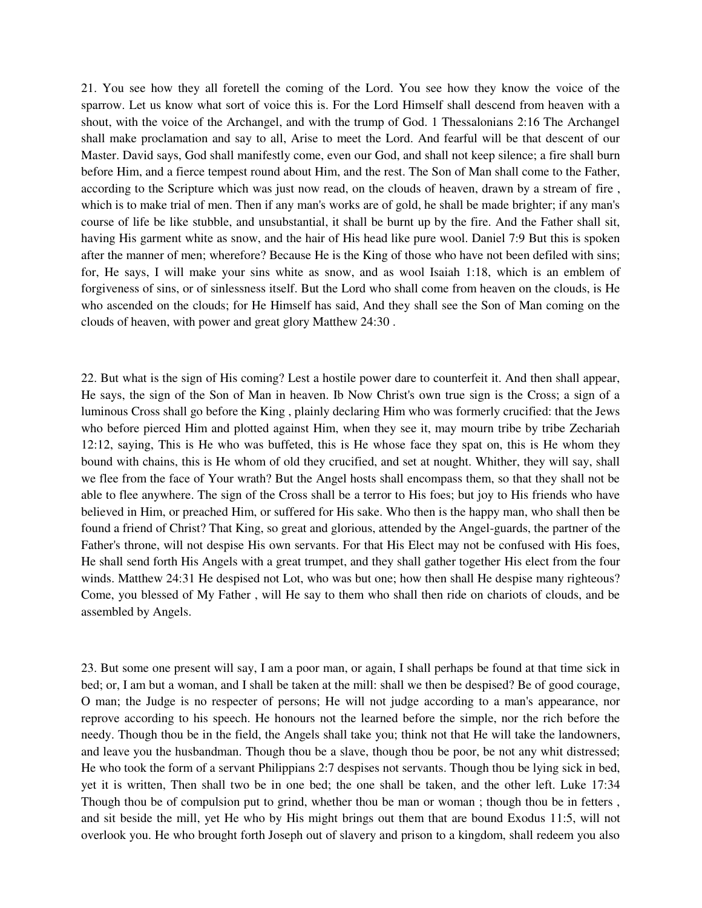21. You see how they all foretell the coming of the Lord. You see how they know the voice of the sparrow. Let us know what sort of voice this is. For the Lord Himself shall descend from heaven with a shout, with the voice of the Archangel, and with the trump of God. 1 Thessalonians 2:16 The Archangel shall make proclamation and say to all, Arise to meet the Lord. And fearful will be that descent of our Master. David says, God shall manifestly come, even our God, and shall not keep silence; a fire shall burn before Him, and a fierce tempest round about Him, and the rest. The Son of Man shall come to the Father, according to the Scripture which was just now read, on the clouds of heaven, drawn by a stream of fire , which is to make trial of men. Then if any man's works are of gold, he shall be made brighter; if any man's course of life be like stubble, and unsubstantial, it shall be burnt up by the fire. And the Father shall sit, having His garment white as snow, and the hair of His head like pure wool. Daniel 7:9 But this is spoken after the manner of men; wherefore? Because He is the King of those who have not been defiled with sins; for, He says, I will make your sins white as snow, and as wool Isaiah 1:18, which is an emblem of forgiveness of sins, or of sinlessness itself. But the Lord who shall come from heaven on the clouds, is He who ascended on the clouds; for He Himself has said, And they shall see the Son of Man coming on the clouds of heaven, with power and great glory Matthew 24:30 .

22. But what is the sign of His coming? Lest a hostile power dare to counterfeit it. And then shall appear, He says, the sign of the Son of Man in heaven. Ib Now Christ's own true sign is the Cross; a sign of a luminous Cross shall go before the King , plainly declaring Him who was formerly crucified: that the Jews who before pierced Him and plotted against Him, when they see it, may mourn tribe by tribe Zechariah 12:12, saying, This is He who was buffeted, this is He whose face they spat on, this is He whom they bound with chains, this is He whom of old they crucified, and set at nought. Whither, they will say, shall we flee from the face of Your wrath? But the Angel hosts shall encompass them, so that they shall not be able to flee anywhere. The sign of the Cross shall be a terror to His foes; but joy to His friends who have believed in Him, or preached Him, or suffered for His sake. Who then is the happy man, who shall then be found a friend of Christ? That King, so great and glorious, attended by the Angel-guards, the partner of the Father's throne, will not despise His own servants. For that His Elect may not be confused with His foes, He shall send forth His Angels with a great trumpet, and they shall gather together His elect from the four winds. Matthew 24:31 He despised not Lot, who was but one; how then shall He despise many righteous? Come, you blessed of My Father , will He say to them who shall then ride on chariots of clouds, and be assembled by Angels.

23. But some one present will say, I am a poor man, or again, I shall perhaps be found at that time sick in bed; or, I am but a woman, and I shall be taken at the mill: shall we then be despised? Be of good courage, O man; the Judge is no respecter of persons; He will not judge according to a man's appearance, nor reprove according to his speech. He honours not the learned before the simple, nor the rich before the needy. Though thou be in the field, the Angels shall take you; think not that He will take the landowners, and leave you the husbandman. Though thou be a slave, though thou be poor, be not any whit distressed; He who took the form of a servant Philippians 2:7 despises not servants. Though thou be lying sick in bed, yet it is written, Then shall two be in one bed; the one shall be taken, and the other left. Luke 17:34 Though thou be of compulsion put to grind, whether thou be man or woman ; though thou be in fetters , and sit beside the mill, yet He who by His might brings out them that are bound Exodus 11:5, will not overlook you. He who brought forth Joseph out of slavery and prison to a kingdom, shall redeem you also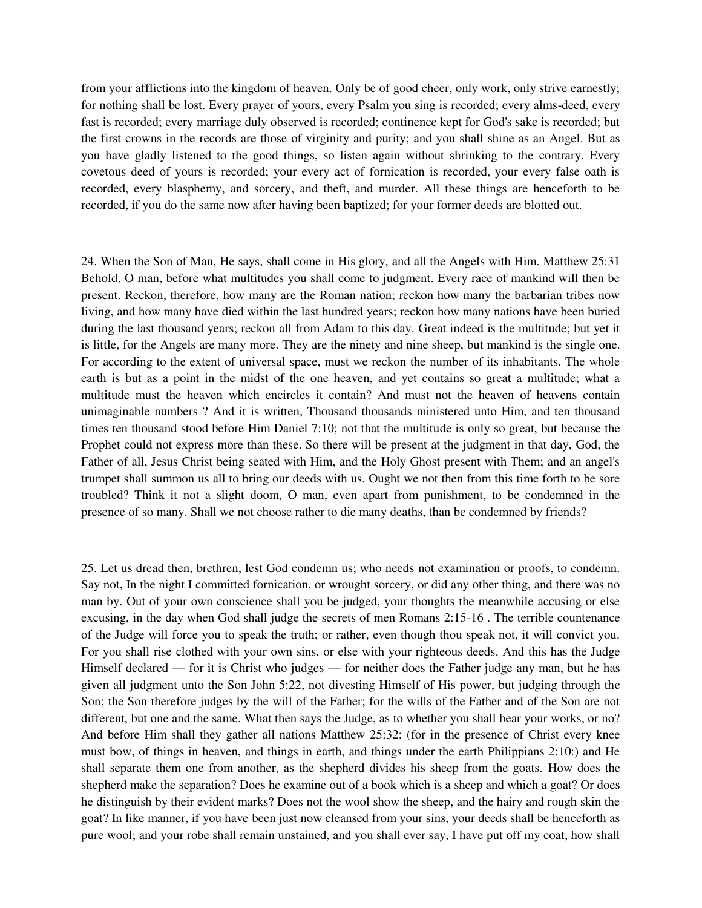from your afflictions into the kingdom of heaven. Only be of good cheer, only work, only strive earnestly; for nothing shall be lost. Every prayer of yours, every Psalm you sing is recorded; every alms-deed, every fast is recorded; every marriage duly observed is recorded; continence kept for God's sake is recorded; but the first crowns in the records are those of virginity and purity; and you shall shine as an Angel. But as you have gladly listened to the good things, so listen again without shrinking to the contrary. Every covetous deed of yours is recorded; your every act of fornication is recorded, your every false oath is recorded, every blasphemy, and sorcery, and theft, and murder. All these things are henceforth to be recorded, if you do the same now after having been baptized; for your former deeds are blotted out.

24. When the Son of Man, He says, shall come in His glory, and all the Angels with Him. Matthew 25:31 Behold, O man, before what multitudes you shall come to judgment. Every race of mankind will then be present. Reckon, therefore, how many are the Roman nation; reckon how many the barbarian tribes now living, and how many have died within the last hundred years; reckon how many nations have been buried during the last thousand years; reckon all from Adam to this day. Great indeed is the multitude; but yet it is little, for the Angels are many more. They are the ninety and nine sheep, but mankind is the single one. For according to the extent of universal space, must we reckon the number of its inhabitants. The whole earth is but as a point in the midst of the one heaven, and yet contains so great a multitude; what a multitude must the heaven which encircles it contain? And must not the heaven of heavens contain unimaginable numbers ? And it is written, Thousand thousands ministered unto Him, and ten thousand times ten thousand stood before Him Daniel 7:10; not that the multitude is only so great, but because the Prophet could not express more than these. So there will be present at the judgment in that day, God, the Father of all, Jesus Christ being seated with Him, and the Holy Ghost present with Them; and an angel's trumpet shall summon us all to bring our deeds with us. Ought we not then from this time forth to be sore troubled? Think it not a slight doom, O man, even apart from punishment, to be condemned in the presence of so many. Shall we not choose rather to die many deaths, than be condemned by friends?

25. Let us dread then, brethren, lest God condemn us; who needs not examination or proofs, to condemn. Say not, In the night I committed fornication, or wrought sorcery, or did any other thing, and there was no man by. Out of your own conscience shall you be judged, your thoughts the meanwhile accusing or else excusing, in the day when God shall judge the secrets of men Romans 2:15-16 . The terrible countenance of the Judge will force you to speak the truth; or rather, even though thou speak not, it will convict you. For you shall rise clothed with your own sins, or else with your righteous deeds. And this has the Judge Himself declared — for it is Christ who judges — for neither does the Father judge any man, but he has given all judgment unto the Son John 5:22, not divesting Himself of His power, but judging through the Son; the Son therefore judges by the will of the Father; for the wills of the Father and of the Son are not different, but one and the same. What then says the Judge, as to whether you shall bear your works, or no? And before Him shall they gather all nations Matthew 25:32: (for in the presence of Christ every knee must bow, of things in heaven, and things in earth, and things under the earth Philippians 2:10:) and He shall separate them one from another, as the shepherd divides his sheep from the goats. How does the shepherd make the separation? Does he examine out of a book which is a sheep and which a goat? Or does he distinguish by their evident marks? Does not the wool show the sheep, and the hairy and rough skin the goat? In like manner, if you have been just now cleansed from your sins, your deeds shall be henceforth as pure wool; and your robe shall remain unstained, and you shall ever say, I have put off my coat, how shall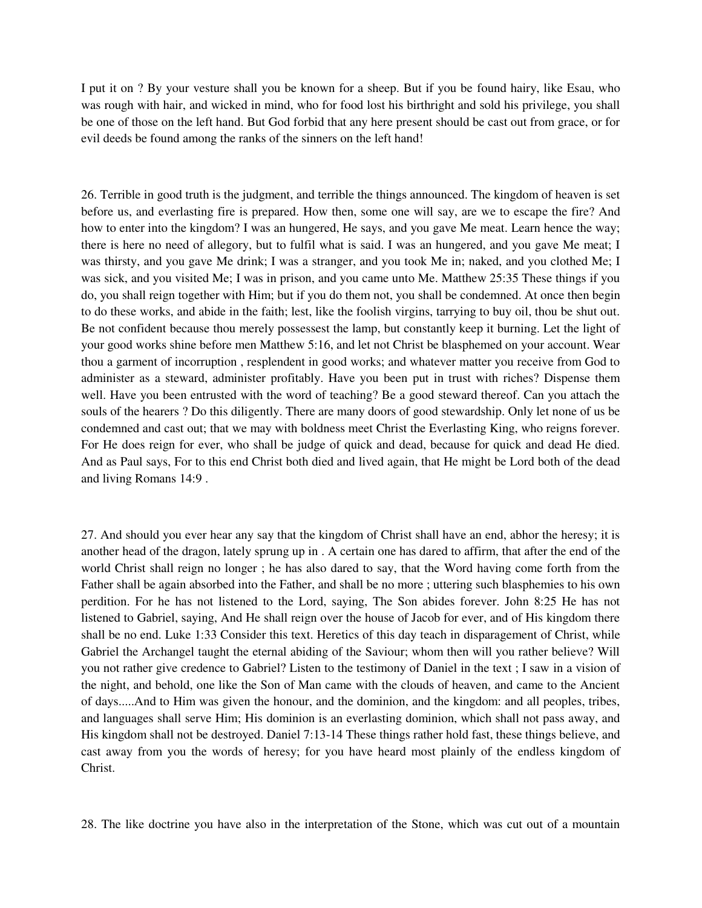I put it on ? By your vesture shall you be known for a sheep. But if you be found hairy, like Esau, who was rough with hair, and wicked in mind, who for food lost his birthright and sold his privilege, you shall be one of those on the left hand. But God forbid that any here present should be cast out from grace, or for evil deeds be found among the ranks of the sinners on the left hand!

26. Terrible in good truth is the judgment, and terrible the things announced. The kingdom of heaven is set before us, and everlasting fire is prepared. How then, some one will say, are we to escape the fire? And how to enter into the kingdom? I was an hungered, He says, and you gave Me meat. Learn hence the way; there is here no need of allegory, but to fulfil what is said. I was an hungered, and you gave Me meat; I was thirsty, and you gave Me drink; I was a stranger, and you took Me in; naked, and you clothed Me; I was sick, and you visited Me; I was in prison, and you came unto Me. Matthew 25:35 These things if you do, you shall reign together with Him; but if you do them not, you shall be condemned. At once then begin to do these works, and abide in the faith; lest, like the foolish virgins, tarrying to buy oil, thou be shut out. Be not confident because thou merely possessest the lamp, but constantly keep it burning. Let the light of your good works shine before men Matthew 5:16, and let not Christ be blasphemed on your account. Wear thou a garment of incorruption , resplendent in good works; and whatever matter you receive from God to administer as a steward, administer profitably. Have you been put in trust with riches? Dispense them well. Have you been entrusted with the word of teaching? Be a good steward thereof. Can you attach the souls of the hearers ? Do this diligently. There are many doors of good stewardship. Only let none of us be condemned and cast out; that we may with boldness meet Christ the Everlasting King, who reigns forever. For He does reign for ever, who shall be judge of quick and dead, because for quick and dead He died. And as Paul says, For to this end Christ both died and lived again, that He might be Lord both of the dead and living Romans 14:9 .

27. And should you ever hear any say that the kingdom of Christ shall have an end, abhor the heresy; it is another head of the dragon, lately sprung up in . A certain one has dared to affirm, that after the end of the world Christ shall reign no longer ; he has also dared to say, that the Word having come forth from the Father shall be again absorbed into the Father, and shall be no more ; uttering such blasphemies to his own perdition. For he has not listened to the Lord, saying, The Son abides forever. John 8:25 He has not listened to Gabriel, saying, And He shall reign over the house of Jacob for ever, and of His kingdom there shall be no end. Luke 1:33 Consider this text. Heretics of this day teach in disparagement of Christ, while Gabriel the Archangel taught the eternal abiding of the Saviour; whom then will you rather believe? Will you not rather give credence to Gabriel? Listen to the testimony of Daniel in the text ; I saw in a vision of the night, and behold, one like the Son of Man came with the clouds of heaven, and came to the Ancient of days.....And to Him was given the honour, and the dominion, and the kingdom: and all peoples, tribes, and languages shall serve Him; His dominion is an everlasting dominion, which shall not pass away, and His kingdom shall not be destroyed. Daniel 7:13-14 These things rather hold fast, these things believe, and cast away from you the words of heresy; for you have heard most plainly of the endless kingdom of Christ.

28. The like doctrine you have also in the interpretation of the Stone, which was cut out of a mountain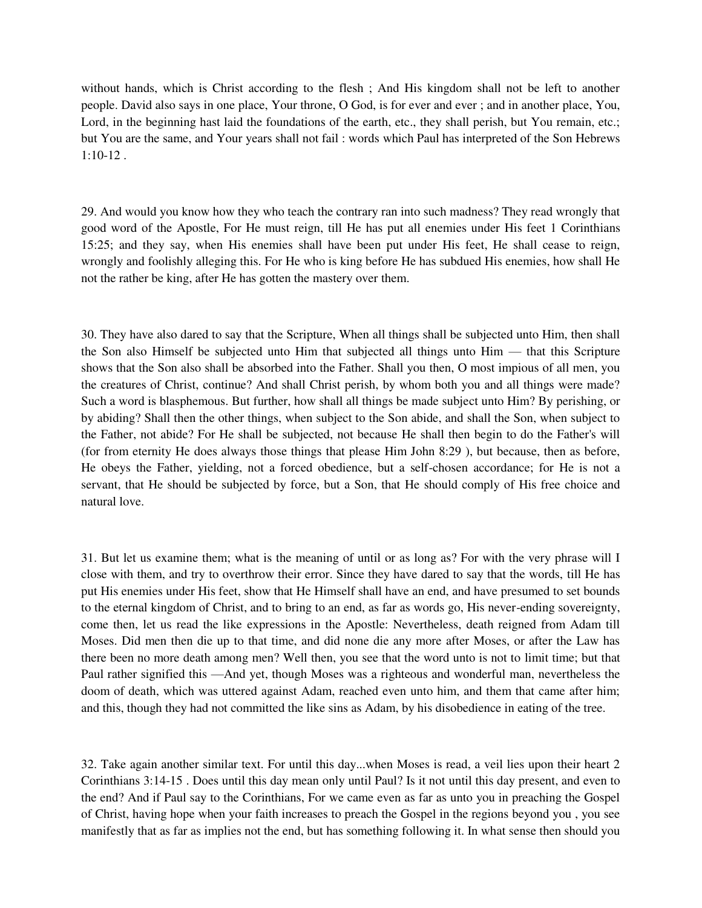without hands, which is Christ according to the flesh ; And His kingdom shall not be left to another people. David also says in one place, Your throne, O God, is for ever and ever ; and in another place, You, Lord, in the beginning hast laid the foundations of the earth, etc., they shall perish, but You remain, etc.; but You are the same, and Your years shall not fail : words which Paul has interpreted of the Son Hebrews  $1:10-12$ .

29. And would you know how they who teach the contrary ran into such madness? They read wrongly that good word of the Apostle, For He must reign, till He has put all enemies under His feet 1 Corinthians 15:25; and they say, when His enemies shall have been put under His feet, He shall cease to reign, wrongly and foolishly alleging this. For He who is king before He has subdued His enemies, how shall He not the rather be king, after He has gotten the mastery over them.

30. They have also dared to say that the Scripture, When all things shall be subjected unto Him, then shall the Son also Himself be subjected unto Him that subjected all things unto Him — that this Scripture shows that the Son also shall be absorbed into the Father. Shall you then, O most impious of all men, you the creatures of Christ, continue? And shall Christ perish, by whom both you and all things were made? Such a word is blasphemous. But further, how shall all things be made subject unto Him? By perishing, or by abiding? Shall then the other things, when subject to the Son abide, and shall the Son, when subject to the Father, not abide? For He shall be subjected, not because He shall then begin to do the Father's will (for from eternity He does always those things that please Him John 8:29 ), but because, then as before, He obeys the Father, yielding, not a forced obedience, but a self-chosen accordance; for He is not a servant, that He should be subjected by force, but a Son, that He should comply of His free choice and natural love.

31. But let us examine them; what is the meaning of until or as long as? For with the very phrase will I close with them, and try to overthrow their error. Since they have dared to say that the words, till He has put His enemies under His feet, show that He Himself shall have an end, and have presumed to set bounds to the eternal kingdom of Christ, and to bring to an end, as far as words go, His never-ending sovereignty, come then, let us read the like expressions in the Apostle: Nevertheless, death reigned from Adam till Moses. Did men then die up to that time, and did none die any more after Moses, or after the Law has there been no more death among men? Well then, you see that the word unto is not to limit time; but that Paul rather signified this —And yet, though Moses was a righteous and wonderful man, nevertheless the doom of death, which was uttered against Adam, reached even unto him, and them that came after him; and this, though they had not committed the like sins as Adam, by his disobedience in eating of the tree.

32. Take again another similar text. For until this day...when Moses is read, a veil lies upon their heart 2 Corinthians 3:14-15 . Does until this day mean only until Paul? Is it not until this day present, and even to the end? And if Paul say to the Corinthians, For we came even as far as unto you in preaching the Gospel of Christ, having hope when your faith increases to preach the Gospel in the regions beyond you , you see manifestly that as far as implies not the end, but has something following it. In what sense then should you